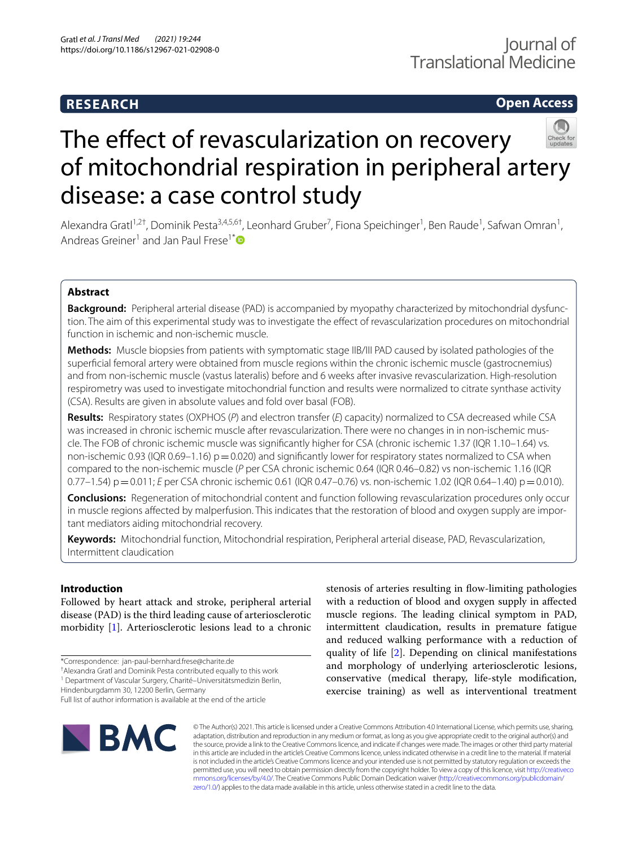# **RESEARCH**

# **Open Access**

# The effect of revascularization on recovery of mitochondrial respiration in peripheral artery disease: a case control study

Alexandra Gratl<sup>1,2†</sup>, Dominik Pesta<sup>3,4,5,6†</sup>, Leonhard Gruber<sup>7</sup>, Fiona Speichinger<sup>1</sup>, Ben Raude<sup>1</sup>, Safwan Omran<sup>1</sup>, Andreas Greiner<sup>1</sup> and Jan Paul Frese<sup>1[\\*](http://orcid.org/0000-0002-2690-0731)</sup><sup>®</sup>

# **Abstract**

**Background:** Peripheral arterial disease (PAD) is accompanied by myopathy characterized by mitochondrial dysfunction. The aim of this experimental study was to investigate the effect of revascularization procedures on mitochondrial function in ischemic and non-ischemic muscle.

**Methods:** Muscle biopsies from patients with symptomatic stage IIB/III PAD caused by isolated pathologies of the superfcial femoral artery were obtained from muscle regions within the chronic ischemic muscle (gastrocnemius) and from non-ischemic muscle (vastus lateralis) before and 6 weeks after invasive revascularization. High-resolution respirometry was used to investigate mitochondrial function and results were normalized to citrate synthase activity (CSA). Results are given in absolute values and fold over basal (FOB).

**Results:** Respiratory states (OXPHOS (*P*) and electron transfer (*E*) capacity) normalized to CSA decreased while CSA was increased in chronic ischemic muscle after revascularization. There were no changes in in non-ischemic muscle. The FOB of chronic ischemic muscle was signifcantly higher for CSA (chronic ischemic 1.37 (IQR 1.10–1.64) vs. non-ischemic 0.93 (IQR 0.69–1.16)  $p=0.020$ ) and significantly lower for respiratory states normalized to CSA when compared to the non-ischemic muscle (*P* per CSA chronic ischemic 0.64 (IQR 0.46–0.82) vs non-ischemic 1.16 (IQR 0.77–1.54) p=0.011; *E* per CSA chronic ischemic 0.61 (IQR 0.47–0.76) vs. non-ischemic 1.02 (IQR 0.64–1.40) p=0.010).

**Conclusions:** Regeneration of mitochondrial content and function following revascularization procedures only occur in muscle regions afected by malperfusion. This indicates that the restoration of blood and oxygen supply are important mediators aiding mitochondrial recovery.

**Keywords:** Mitochondrial function, Mitochondrial respiration, Peripheral arterial disease, PAD, Revascularization, Intermittent claudication

# **Introduction**

Followed by heart attack and stroke, peripheral arterial disease (PAD) is the third leading cause of arteriosclerotic morbidity [\[1](#page-8-0)]. Arteriosclerotic lesions lead to a chronic

† Alexandra Gratl and Dominik Pesta contributed equally to this work

<sup>1</sup> Department of Vascular Surgery, Charité-Universitätsmedizin Berlin,

Hindenburgdamm 30, 12200 Berlin, Germany Full list of author information is available at the end of the article

stenosis of arteries resulting in flow-limiting pathologies with a reduction of blood and oxygen supply in afected muscle regions. The leading clinical symptom in PAD, intermittent claudication, results in premature fatigue and reduced walking performance with a reduction of quality of life [[2\]](#page-8-1). Depending on clinical manifestations and morphology of underlying arteriosclerotic lesions, conservative (medical therapy, life-style modifcation, exercise training) as well as interventional treatment



© The Author(s) 2021. This article is licensed under a Creative Commons Attribution 4.0 International License, which permits use, sharing, adaptation, distribution and reproduction in any medium or format, as long as you give appropriate credit to the original author(s) and the source, provide a link to the Creative Commons licence, and indicate if changes were made. The images or other third party material in this article are included in the article's Creative Commons licence, unless indicated otherwise in a credit line to the material. If material is not included in the article's Creative Commons licence and your intended use is not permitted by statutory regulation or exceeds the permitted use, you will need to obtain permission directly from the copyright holder. To view a copy of this licence, visit [http://creativeco](http://creativecommons.org/licenses/by/4.0/) [mmons.org/licenses/by/4.0/.](http://creativecommons.org/licenses/by/4.0/) The Creative Commons Public Domain Dedication waiver ([http://creativecommons.org/publicdomain/](http://creativecommons.org/publicdomain/zero/1.0/) [zero/1.0/\)](http://creativecommons.org/publicdomain/zero/1.0/) applies to the data made available in this article, unless otherwise stated in a credit line to the data.

<sup>\*</sup>Correspondence: jan-paul-bernhard.frese@charite.de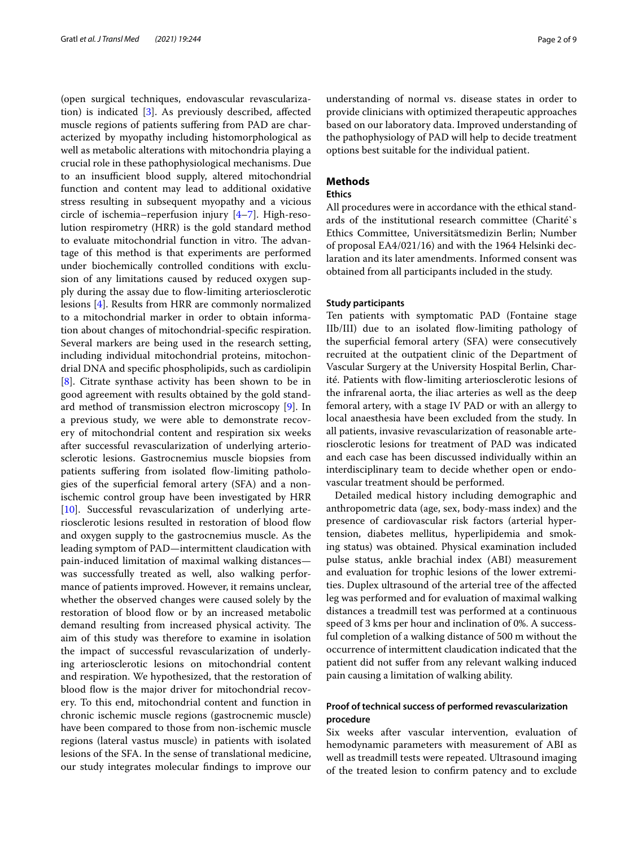(open surgical techniques, endovascular revascularization) is indicated [\[3](#page-8-2)]. As previously described, afected muscle regions of patients sufering from PAD are characterized by myopathy including histomorphological as well as metabolic alterations with mitochondria playing a crucial role in these pathophysiological mechanisms. Due to an insufficient blood supply, altered mitochondrial function and content may lead to additional oxidative stress resulting in subsequent myopathy and a vicious circle of ischemia–reperfusion injury [\[4](#page-8-3)[–7](#page-8-4)]. High-resolution respirometry (HRR) is the gold standard method to evaluate mitochondrial function in vitro. The advantage of this method is that experiments are performed under biochemically controlled conditions with exclusion of any limitations caused by reduced oxygen supply during the assay due to flow-limiting arteriosclerotic lesions [[4\]](#page-8-3). Results from HRR are commonly normalized to a mitochondrial marker in order to obtain information about changes of mitochondrial-specifc respiration. Several markers are being used in the research setting, including individual mitochondrial proteins, mitochondrial DNA and specifc phospholipids, such as cardiolipin [[8\]](#page-8-5). Citrate synthase activity has been shown to be in good agreement with results obtained by the gold standard method of transmission electron microscopy [[9\]](#page-8-6). In a previous study, we were able to demonstrate recovery of mitochondrial content and respiration six weeks after successful revascularization of underlying arteriosclerotic lesions. Gastrocnemius muscle biopsies from patients suffering from isolated flow-limiting pathologies of the superfcial femoral artery (SFA) and a nonischemic control group have been investigated by HRR [[10\]](#page-8-7). Successful revascularization of underlying arteriosclerotic lesions resulted in restoration of blood fow and oxygen supply to the gastrocnemius muscle. As the leading symptom of PAD—intermittent claudication with pain-induced limitation of maximal walking distances was successfully treated as well, also walking performance of patients improved. However, it remains unclear, whether the observed changes were caused solely by the restoration of blood flow or by an increased metabolic demand resulting from increased physical activity. The aim of this study was therefore to examine in isolation the impact of successful revascularization of underlying arteriosclerotic lesions on mitochondrial content and respiration. We hypothesized, that the restoration of blood flow is the major driver for mitochondrial recovery. To this end, mitochondrial content and function in chronic ischemic muscle regions (gastrocnemic muscle) have been compared to those from non-ischemic muscle regions (lateral vastus muscle) in patients with isolated lesions of the SFA. In the sense of translational medicine, our study integrates molecular fndings to improve our understanding of normal vs. disease states in order to provide clinicians with optimized therapeutic approaches based on our laboratory data. Improved understanding of the pathophysiology of PAD will help to decide treatment options best suitable for the individual patient.

# **Methods**

### **Ethics**

All procedures were in accordance with the ethical standards of the institutional research committee (Charité`s Ethics Committee, Universitätsmedizin Berlin; Number of proposal EA4/021/16) and with the 1964 Helsinki declaration and its later amendments. Informed consent was obtained from all participants included in the study.

#### **Study participants**

Ten patients with symptomatic PAD (Fontaine stage IIb/III) due to an isolated flow-limiting pathology of the superfcial femoral artery (SFA) were consecutively recruited at the outpatient clinic of the Department of Vascular Surgery at the University Hospital Berlin, Charité. Patients with fow-limiting arteriosclerotic lesions of the infrarenal aorta, the iliac arteries as well as the deep femoral artery, with a stage IV PAD or with an allergy to local anaesthesia have been excluded from the study. In all patients, invasive revascularization of reasonable arteriosclerotic lesions for treatment of PAD was indicated and each case has been discussed individually within an interdisciplinary team to decide whether open or endovascular treatment should be performed.

Detailed medical history including demographic and anthropometric data (age, sex, body-mass index) and the presence of cardiovascular risk factors (arterial hypertension, diabetes mellitus, hyperlipidemia and smoking status) was obtained. Physical examination included pulse status, ankle brachial index (ABI) measurement and evaluation for trophic lesions of the lower extremities. Duplex ultrasound of the arterial tree of the afected leg was performed and for evaluation of maximal walking distances a treadmill test was performed at a continuous speed of 3 kms per hour and inclination of 0%. A successful completion of a walking distance of 500 m without the occurrence of intermittent claudication indicated that the patient did not sufer from any relevant walking induced pain causing a limitation of walking ability.

# **Proof of technical success of performed revascularization procedure**

Six weeks after vascular intervention, evaluation of hemodynamic parameters with measurement of ABI as well as treadmill tests were repeated. Ultrasound imaging of the treated lesion to confrm patency and to exclude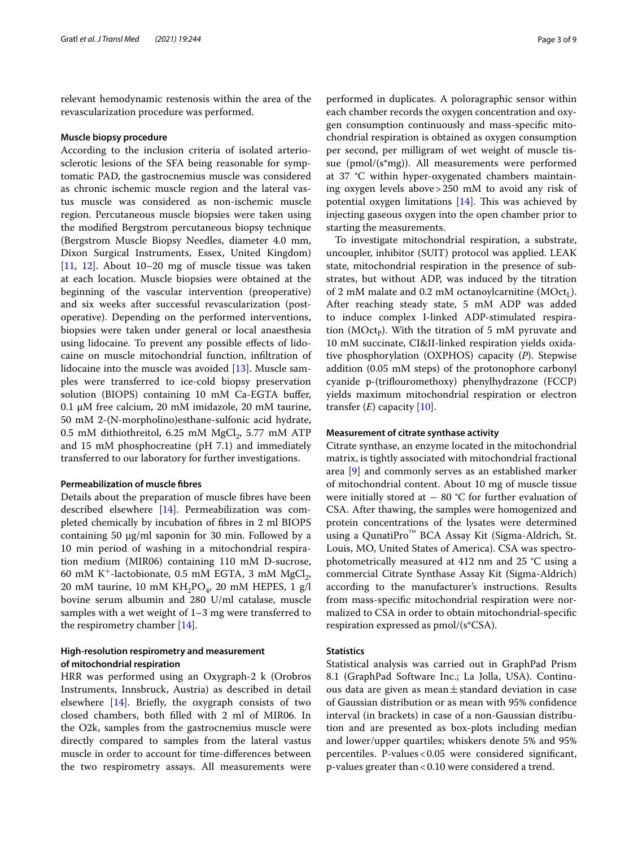relevant hemodynamic restenosis within the area of the revascularization procedure was performed.

#### **Muscle biopsy procedure**

According to the inclusion criteria of isolated arteriosclerotic lesions of the SFA being reasonable for symptomatic PAD, the gastrocnemius muscle was considered as chronic ischemic muscle region and the lateral vastus muscle was considered as non-ischemic muscle region. Percutaneous muscle biopsies were taken using the modifed Bergstrom percutaneous biopsy technique (Bergstrom Muscle Biopsy Needles, diameter 4.0 mm, Dixon Surgical Instruments, Essex, United Kingdom) [[11,](#page-8-8) [12](#page-8-9)]. About 10–20 mg of muscle tissue was taken at each location. Muscle biopsies were obtained at the beginning of the vascular intervention (preoperative) and six weeks after successful revascularization (postoperative). Depending on the performed interventions, biopsies were taken under general or local anaesthesia using lidocaine. To prevent any possible efects of lidocaine on muscle mitochondrial function, infltration of lidocaine into the muscle was avoided [[13\]](#page-8-10). Muscle samples were transferred to ice-cold biopsy preservation solution (BIOPS) containing 10 mM Ca-EGTA bufer, 0.1 μM free calcium, 20 mM imidazole, 20 mM taurine, 50 mM 2-(N-morpholino)esthane-sulfonic acid hydrate,  $0.5$  mM dithiothreitol,  $6.25$  mM  $MgCl<sub>2</sub>$ ,  $5.77$  mM ATP and 15 mM phosphocreatine (pH 7.1) and immediately transferred to our laboratory for further investigations.

#### **Permeabilization of muscle fbres**

Details about the preparation of muscle fbres have been described elsewhere [[14\]](#page-8-11). Permeabilization was completed chemically by incubation of fbres in 2 ml BIOPS containing 50  $\mu$ g/ml saponin for 30 min. Followed by a 10 min period of washing in a mitochondrial respiration medium (MIR06) containing 110 mM D-sucrose, 60 mM K<sup>+</sup>-lactobionate, 0.5 mM EGTA, 3 mM MgCl<sub>2</sub>, 20 mM taurine, 10 mM  $KH_2PO_4$ , 20 mM HEPES, 1 g/l bovine serum albumin and 280 U/ml catalase, muscle samples with a wet weight of 1–3 mg were transferred to the respirometry chamber [\[14\]](#page-8-11).

# **High‑resolution respirometry and measurement of mitochondrial respiration**

HRR was performed using an Oxygraph-2 k (Orobros Instruments, Innsbruck, Austria) as described in detail elsewhere [[14\]](#page-8-11). Briefy, the oxygraph consists of two closed chambers, both flled with 2 ml of MIR06. In the O2k, samples from the gastrocnemius muscle were directly compared to samples from the lateral vastus muscle in order to account for time-diferences between the two respirometry assays. All measurements were performed in duplicates. A poloragraphic sensor within each chamber records the oxygen concentration and oxygen consumption continuously and mass-specifc mitochondrial respiration is obtained as oxygen consumption per second, per milligram of wet weight of muscle tissue (pmol/(s\*mg)). All measurements were performed at 37 °C within hyper-oxygenated chambers maintaining oxygen levels above>250 mM to avoid any risk of potential oxygen limitations  $[14]$ . This was achieved by injecting gaseous oxygen into the open chamber prior to starting the measurements.

To investigate mitochondrial respiration, a substrate, uncoupler, inhibitor (SUIT) protocol was applied. LEAK state, mitochondrial respiration in the presence of substrates, but without ADP, was induced by the titration of 2 mM malate and 0.2 mM octanoylcarnitine (MOct<sub>I</sub>). After reaching steady state, 5 mM ADP was added to induce complex I-linked ADP-stimulated respiration ( $MOct<sub>p</sub>$ ). With the titration of 5 mM pyruvate and 10 mM succinate, CI&II-linked respiration yields oxidative phosphorylation (OXPHOS) capacity (*P*). Stepwise addition (0.05 mM steps) of the protonophore carbonyl cyanide p-(trifouromethoxy) phenylhydrazone (FCCP) yields maximum mitochondrial respiration or electron transfer  $(E)$  capacity  $[10]$ .

#### **Measurement of citrate synthase activity**

Citrate synthase, an enzyme located in the mitochondrial matrix, is tightly associated with mitochondrial fractional area [[9\]](#page-8-6) and commonly serves as an established marker of mitochondrial content. About 10 mg of muscle tissue were initially stored at − 80 °C for further evaluation of CSA. After thawing, the samples were homogenized and protein concentrations of the lysates were determined using a QunatiPro™ BCA Assay Kit (Sigma-Aldrich, St. Louis, MO, United States of America). CSA was spectrophotometrically measured at 412 nm and 25 °C using a commercial Citrate Synthase Assay Kit (Sigma-Aldrich) according to the manufacturer's instructions. Results from mass-specifc mitochondrial respiration were normalized to CSA in order to obtain mitochondrial-specifc respiration expressed as pmol/(s\*CSA).

### **Statistics**

Statistical analysis was carried out in GraphPad Prism 8.1 (GraphPad Software Inc.; La Jolla, USA). Continuous data are given as mean $\pm$ standard deviation in case of Gaussian distribution or as mean with 95% confdence interval (in brackets) in case of a non-Gaussian distribution and are presented as box-plots including median and lower/upper quartiles; whiskers denote 5% and 95% percentiles. P-values  $< 0.05$  were considered significant, p-values greater than<0.10 were considered a trend.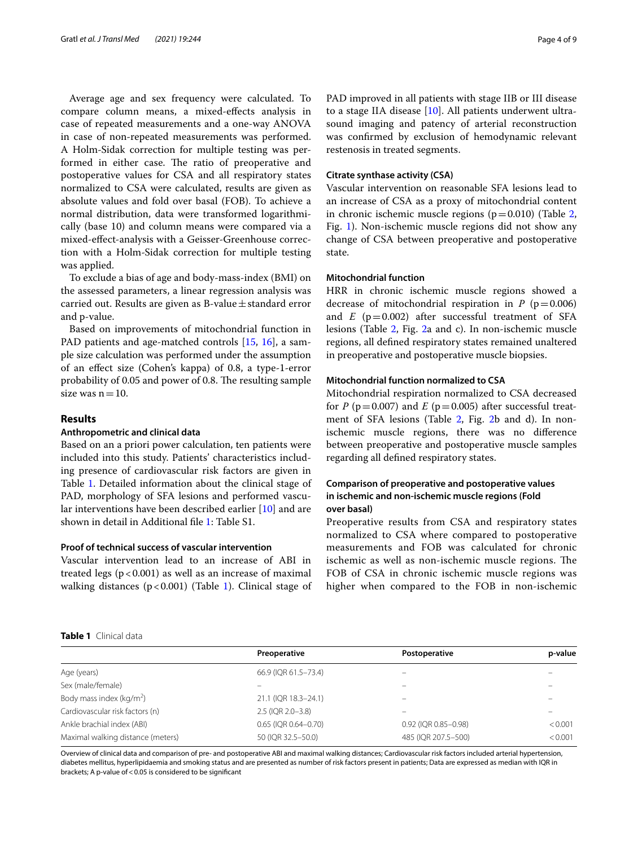Average age and sex frequency were calculated. To compare column means, a mixed-efects analysis in case of repeated measurements and a one-way ANOVA in case of non-repeated measurements was performed. A Holm-Sidak correction for multiple testing was performed in either case. The ratio of preoperative and postoperative values for CSA and all respiratory states normalized to CSA were calculated, results are given as absolute values and fold over basal (FOB). To achieve a normal distribution, data were transformed logarithmically (base 10) and column means were compared via a mixed-efect-analysis with a Geisser-Greenhouse correction with a Holm-Sidak correction for multiple testing was applied.

To exclude a bias of age and body-mass-index (BMI) on the assessed parameters, a linear regression analysis was carried out. Results are given as B-value $\pm$  standard error and p-value.

Based on improvements of mitochondrial function in PAD patients and age-matched controls [[15,](#page-8-12) [16](#page-8-13)], a sample size calculation was performed under the assumption of an efect size (Cohen's kappa) of 0.8, a type-1-error probability of 0.05 and power of 0.8. The resulting sample size was  $n=10$ .

### **Results**

# **Anthropometric and clinical data**

Based on an a priori power calculation, ten patients were included into this study. Patients' characteristics including presence of cardiovascular risk factors are given in Table [1](#page-3-0). Detailed information about the clinical stage of PAD, morphology of SFA lesions and performed vascular interventions have been described earlier [[10](#page-8-7)] and are shown in detail in Additional fle [1](#page-7-0): Table S1.

# **Proof of technical success of vascular intervention**

Vascular intervention lead to an increase of ABI in treated legs  $(p < 0.001)$  as well as an increase of maximal walking distances ( $p < 0.001$  $p < 0.001$ ) (Table 1). Clinical stage of

PAD improved in all patients with stage IIB or III disease to a stage IIA disease [\[10](#page-8-7)]. All patients underwent ultrasound imaging and patency of arterial reconstruction was confrmed by exclusion of hemodynamic relevant restenosis in treated segments.

# **Citrate synthase activity (CSA)**

Vascular intervention on reasonable SFA lesions lead to an increase of CSA as a proxy of mitochondrial content in chronic ischemic muscle regions ( $p=0.010$ ) (Table [2](#page-4-0), Fig. [1](#page-4-1)). Non-ischemic muscle regions did not show any change of CSA between preoperative and postoperative state.

#### **Mitochondrial function**

HRR in chronic ischemic muscle regions showed a decrease of mitochondrial respiration in  $P$  ( $p=0.006$ ) and  $E$  ( $p=0.002$ ) after successful treatment of SFA lesions (Table [2](#page-4-0), Fig. [2a](#page-5-0) and c). In non-ischemic muscle regions, all defned respiratory states remained unaltered in preoperative and postoperative muscle biopsies.

## **Mitochondrial function normalized to CSA**

Mitochondrial respiration normalized to CSA decreased for *P* ( $p = 0.007$ ) and *E* ( $p = 0.005$ ) after successful treat-ment of SFA lesions (Table [2,](#page-4-0) Fig. [2b](#page-5-0) and d). In nonischemic muscle regions, there was no diference between preoperative and postoperative muscle samples regarding all defned respiratory states.

# **Comparison of preoperative and postoperative values in ischemic and non‑ischemic muscle regions (Fold over basal)**

Preoperative results from CSA and respiratory states normalized to CSA where compared to postoperative measurements and FOB was calculated for chronic ischemic as well as non-ischemic muscle regions. The FOB of CSA in chronic ischemic muscle regions was higher when compared to the FOB in non-ischemic

# <span id="page-3-0"></span>**Table 1** Clinical data

|                                      | Preoperative         | Postoperative            | p-value |
|--------------------------------------|----------------------|--------------------------|---------|
| Age (years)                          | 66.9 (IQR 61.5-73.4) |                          |         |
| Sex (male/female)                    |                      |                          |         |
| Body mass index (kg/m <sup>2</sup> ) | 21.1 (IQR 18.3-24.1) |                          |         |
| Cardiovascular risk factors (n)      | 2.5 (IQR 2.0-3.8)    | $\overline{\phantom{0}}$ |         |
| Ankle brachial index (ABI)           | 0.65 (IQR 0.64-0.70) | 0.92 (IQR 0.85-0.98)     | < 0.001 |
| Maximal walking distance (meters)    | 50 (IQR 32.5-50.0)   | 485 (IQR 207.5-500)      | < 0.001 |
|                                      |                      |                          |         |

Overview of clinical data and comparison of pre- and postoperative ABI and maximal walking distances; Cardiovascular risk factors included arterial hypertension, diabetes mellitus, hyperlipidaemia and smoking status and are presented as number of risk factors present in patients; Data are expressed as median with IQR in brackets; A p-value of<0.05 is considered to be signifcant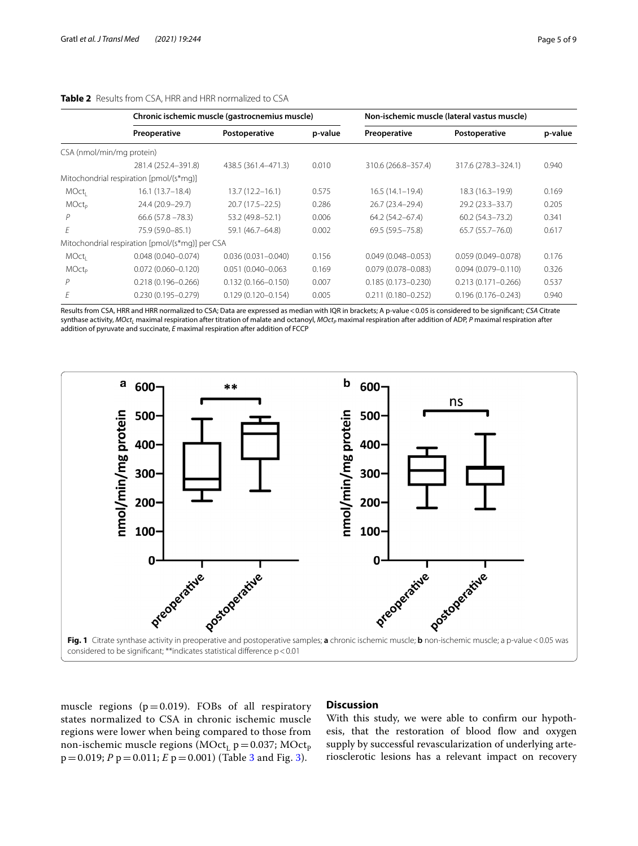|  |  | ı aycı |  |
|--|--|--------|--|
|  |  |        |  |
|  |  |        |  |
|  |  |        |  |

<span id="page-4-0"></span>

|                           | Chronic ischemic muscle (gastrocnemius muscle)  |                        |         | Non-ischemic muscle (lateral vastus muscle) |                        |         |
|---------------------------|-------------------------------------------------|------------------------|---------|---------------------------------------------|------------------------|---------|
|                           | Preoperative                                    | Postoperative          | p-value | Preoperative                                | Postoperative          | p-value |
| CSA (nmol/min/mg protein) |                                                 |                        |         |                                             |                        |         |
|                           | 281.4 (252.4-391.8)                             | 438.5 (361.4-471.3)    | 0.010   | 310.6 (266.8-357.4)                         | 317.6 (278.3-324.1)    | 0.940   |
|                           | Mitochondrial respiration [pmol/(s*mg)]         |                        |         |                                             |                        |         |
| MOct <sub>i</sub>         | $16.1(13.7-18.4)$                               | 13.7 (12.2–16.1)       | 0.575   | $16.5(14.1-19.4)$                           | 18.3 (16.3-19.9)       | 0.169   |
| <b>MOctp</b>              | 24.4 (20.9-29.7)                                | $20.7(17.5 - 22.5)$    | 0.286   | 26.7 (23.4-29.4)                            | 29.2 (23.3 - 33.7)     | 0.205   |
|                           | $66.6(57.8 - 78.3)$                             | 53.2 (49.8-52.1)       | 0.006   | 64.2 (54.2-67.4)                            | $60.2(54.3 - 73.2)$    | 0.341   |
| F                         | 75.9 (59.0-85.1)                                | 59.1 (46.7-64.8)       | 0.002   | 69.5 (59.5 - 75.8)                          | $65.7(55.7 - 76.0)$    | 0.617   |
|                           | Mitochondrial respiration [pmol/(s*mg)] per CSA |                        |         |                                             |                        |         |
| MOct <sub>i</sub>         | $0.048(0.040 - 0.074)$                          | $0.036(0.031 - 0.040)$ | 0.156   | $0.049(0.048 - 0.053)$                      | $0.059(0.049 - 0.078)$ | 0.176   |
| <b>MOctp</b>              | $0.072(0.060 - 0.120)$                          | $0.051(0.040 - 0.063)$ | 0.169   | $0.079(0.078 - 0.083)$                      | $0.094(0.079 - 0.110)$ | 0.326   |
| Р                         | $0.218(0.196 - 0.266)$                          | $0.132(0.166 - 0.150)$ | 0.007   | $0.185(0.173 - 0.230)$                      | $0.213(0.171 - 0.266)$ | 0.537   |
|                           | $0.230(0.195 - 0.279)$                          | $0.129(0.120 - 0.154)$ | 0.005   | $0.211(0.180 - 0.252)$                      | $0.196(0.176 - 0.243)$ | 0.940   |

Results from CSA, HRR and HRR normalized to CSA; Data are expressed as median with IQR in brackets; A p-value < 0.05 is considered to be significant; *CSA* Citrate synthase activity, *MOct*<sub>L</sub> maximal respiration after titration of malate and octanoyl, *MOct*<sub>P</sub> maximal respiration after addition of ADP, *P* maximal respiration after addition of pyruvate and succinate, *E* maximal respiration after addition of FCCP



<span id="page-4-1"></span>muscle regions ( $p=0.019$ ). FOBs of all respiratory states normalized to CSA in chronic ischemic muscle regions were lower when being compared to those from non-ischemic muscle regions ( $MOct<sub>L</sub> p=0.037$ ;  $MOct<sub>p</sub>$ p=0.019; *P* p=0.011; *E* p=0.001) (Table [3](#page-5-1) and Fig. [3](#page-6-0)).

# **Discussion**

With this study, we were able to confrm our hypothesis, that the restoration of blood flow and oxygen supply by successful revascularization of underlying arteriosclerotic lesions has a relevant impact on recovery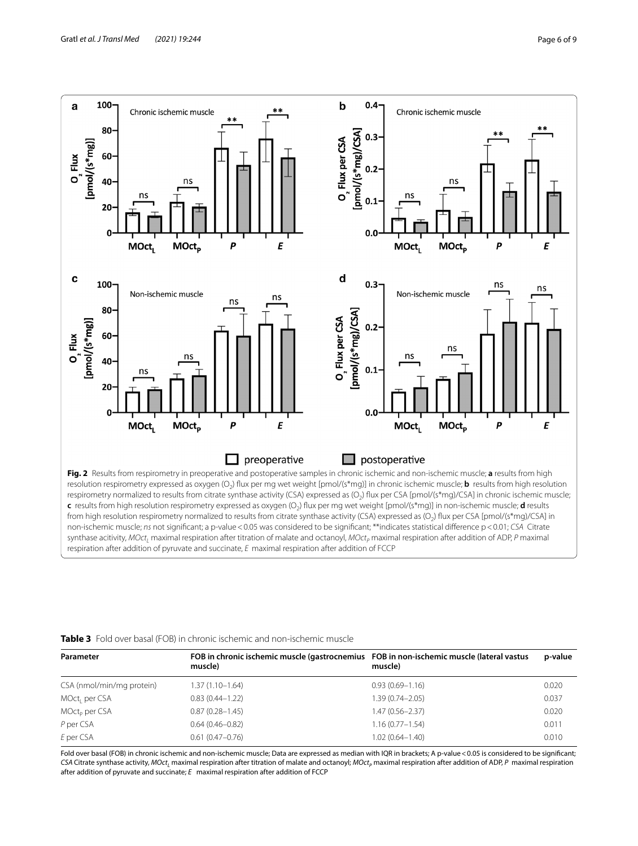

<span id="page-5-0"></span>from high resolution respirometry normalized to results from citrate synthase activity (CSA) expressed as (O<sub>3</sub>) flux per CSA [pmol/(s\*mg)/CSA] in non-ischemic muscle; *ns* not signifcant; a p-value<0.05 was considered to be signifcant; \*\*indicates statistical diference p<0.01; *CSA* Citrate synthase acitivity, *MOct<sub>L</sub>* maximal respiration after titration of malate and octanoyl, *MOct<sub>P</sub>* maximal respiration after addition of ADP, *P* maximal respiration after addition of pyruvate and succinate, *E* maximal respiration after addition of FCCP

#### <span id="page-5-1"></span>**Table 3** Fold over basal (FOB) in chronic ischemic and non-ischemic muscle

| Parameter                 | FOB in chronic ischemic muscle (gastrocnemius FOB in non-ischemic muscle (lateral vastus<br>muscle) | muscle)             | p-value |
|---------------------------|-----------------------------------------------------------------------------------------------------|---------------------|---------|
| CSA (nmol/min/mg protein) | $1.37(1.10 - 1.64)$                                                                                 | $0.93(0.69 - 1.16)$ | 0.020   |
| MOct <sub>i</sub> per CSA | $0.83(0.44 - 1.22)$                                                                                 | 1.39 (0.74-2.05)    | 0.037   |
| MOct <sub>p</sub> per CSA | $0.87(0.28 - 1.45)$                                                                                 | $1.47(0.56 - 2.37)$ | 0.020   |
| P per CSA                 | $0.64(0.46 - 0.82)$                                                                                 | $1.16(0.77 - 1.54)$ | 0.011   |
| E per CSA                 | $0.61(0.47-0.76)$                                                                                   | $1.02(0.64 - 1.40)$ | 0.010   |

Fold over basal (FOB) in chronic ischemic and non-ischemic muscle; Data are expressed as median with IQR in brackets; A p-value < 0.05 is considered to be significant; *CSA* Citrate synthase activity, *MOct<sub>L</sub>* maximal respiration after titration of malate and octanoyl; *MOct<sub>p</sub>* maximal respiration after addition of ADP, *P* maximal respiration after addition of pyruvate and succinate; *E* maximal respiration after addition of FCCP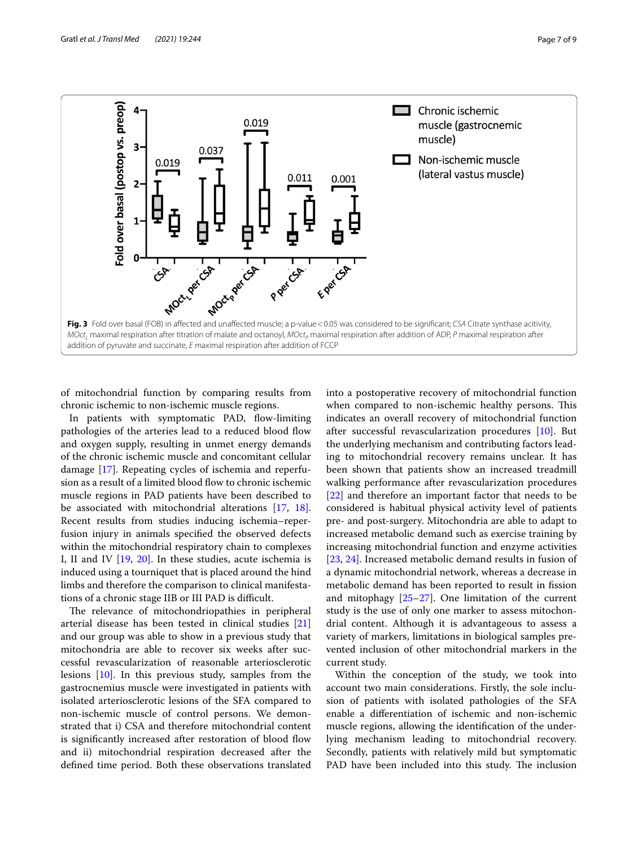

<span id="page-6-0"></span>of mitochondrial function by comparing results from chronic ischemic to non-ischemic muscle regions.

In patients with symptomatic PAD, fow-limiting pathologies of the arteries lead to a reduced blood flow and oxygen supply, resulting in unmet energy demands of the chronic ischemic muscle and concomitant cellular damage [\[17\]](#page-8-14). Repeating cycles of ischemia and reperfusion as a result of a limited blood flow to chronic ischemic muscle regions in PAD patients have been described to be associated with mitochondrial alterations [[17,](#page-8-14) [18](#page-8-15)]. Recent results from studies inducing ischemia–reperfusion injury in animals specifed the observed defects within the mitochondrial respiratory chain to complexes I, II and IV [\[19,](#page-8-16) [20\]](#page-8-17). In these studies, acute ischemia is induced using a tourniquet that is placed around the hind limbs and therefore the comparison to clinical manifestations of a chronic stage IIB or III PAD is difficult.

The relevance of mitochondriopathies in peripheral arterial disease has been tested in clinical studies [[21](#page-8-18)] and our group was able to show in a previous study that mitochondria are able to recover six weeks after successful revascularization of reasonable arteriosclerotic lesions [[10\]](#page-8-7). In this previous study, samples from the gastrocnemius muscle were investigated in patients with isolated arteriosclerotic lesions of the SFA compared to non-ischemic muscle of control persons. We demonstrated that i) CSA and therefore mitochondrial content is significantly increased after restoration of blood flow and ii) mitochondrial respiration decreased after the defned time period. Both these observations translated into a postoperative recovery of mitochondrial function when compared to non-ischemic healthy persons. This indicates an overall recovery of mitochondrial function after successful revascularization procedures [[10\]](#page-8-7). But the underlying mechanism and contributing factors leading to mitochondrial recovery remains unclear. It has been shown that patients show an increased treadmill walking performance after revascularization procedures [[22\]](#page-8-19) and therefore an important factor that needs to be considered is habitual physical activity level of patients pre- and post-surgery. Mitochondria are able to adapt to increased metabolic demand such as exercise training by increasing mitochondrial function and enzyme activities [[23,](#page-8-20) [24](#page-8-21)]. Increased metabolic demand results in fusion of a dynamic mitochondrial network, whereas a decrease in metabolic demand has been reported to result in fission and mitophagy [[25–](#page-8-22)[27](#page-8-23)]. One limitation of the current study is the use of only one marker to assess mitochondrial content. Although it is advantageous to assess a variety of markers, limitations in biological samples prevented inclusion of other mitochondrial markers in the current study.

Within the conception of the study, we took into account two main considerations. Firstly, the sole inclusion of patients with isolated pathologies of the SFA enable a diferentiation of ischemic and non-ischemic muscle regions, allowing the identifcation of the underlying mechanism leading to mitochondrial recovery. Secondly, patients with relatively mild but symptomatic PAD have been included into this study. The inclusion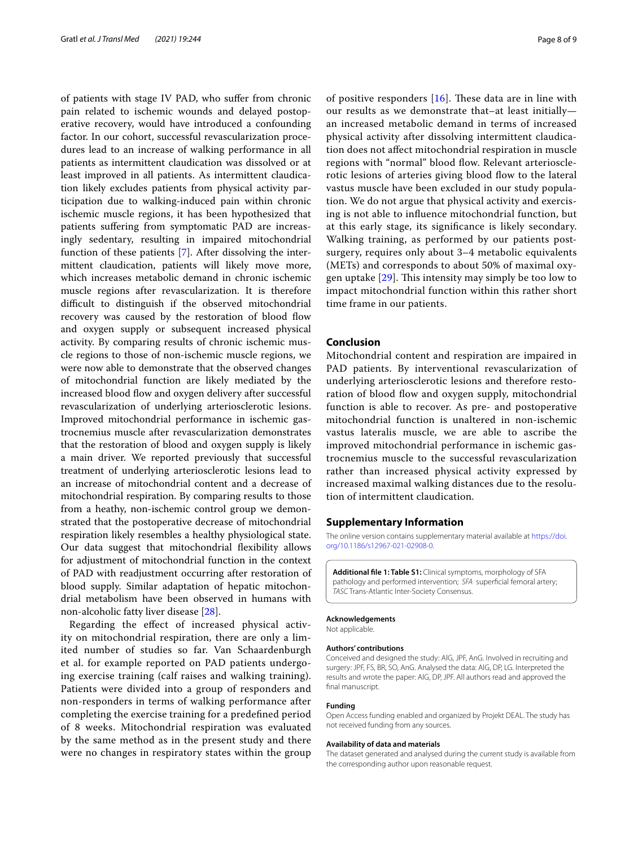of patients with stage IV PAD, who sufer from chronic pain related to ischemic wounds and delayed postoperative recovery, would have introduced a confounding factor. In our cohort, successful revascularization procedures lead to an increase of walking performance in all patients as intermittent claudication was dissolved or at least improved in all patients. As intermittent claudication likely excludes patients from physical activity participation due to walking-induced pain within chronic ischemic muscle regions, it has been hypothesized that patients sufering from symptomatic PAD are increasingly sedentary, resulting in impaired mitochondrial function of these patients [[7](#page-8-4)]. After dissolving the intermittent claudication, patients will likely move more, which increases metabolic demand in chronic ischemic muscle regions after revascularization. It is therefore difficult to distinguish if the observed mitochondrial recovery was caused by the restoration of blood flow and oxygen supply or subsequent increased physical activity. By comparing results of chronic ischemic muscle regions to those of non-ischemic muscle regions, we were now able to demonstrate that the observed changes of mitochondrial function are likely mediated by the increased blood flow and oxygen delivery after successful revascularization of underlying arteriosclerotic lesions. Improved mitochondrial performance in ischemic gastrocnemius muscle after revascularization demonstrates that the restoration of blood and oxygen supply is likely a main driver. We reported previously that successful treatment of underlying arteriosclerotic lesions lead to an increase of mitochondrial content and a decrease of mitochondrial respiration. By comparing results to those from a heathy, non-ischemic control group we demonstrated that the postoperative decrease of mitochondrial respiration likely resembles a healthy physiological state. Our data suggest that mitochondrial fexibility allows for adjustment of mitochondrial function in the context of PAD with readjustment occurring after restoration of blood supply. Similar adaptation of hepatic mitochondrial metabolism have been observed in humans with non-alcoholic fatty liver disease [[28\]](#page-8-24).

Regarding the efect of increased physical activity on mitochondrial respiration, there are only a limited number of studies so far. Van Schaardenburgh et al. for example reported on PAD patients undergoing exercise training (calf raises and walking training). Patients were divided into a group of responders and non-responders in terms of walking performance after completing the exercise training for a predefned period of 8 weeks. Mitochondrial respiration was evaluated by the same method as in the present study and there were no changes in respiratory states within the group of positive responders  $[16]$  $[16]$ . These data are in line with our results as we demonstrate that–at least initially an increased metabolic demand in terms of increased physical activity after dissolving intermittent claudication does not afect mitochondrial respiration in muscle regions with "normal" blood flow. Relevant arteriosclerotic lesions of arteries giving blood flow to the lateral vastus muscle have been excluded in our study population. We do not argue that physical activity and exercising is not able to infuence mitochondrial function, but at this early stage, its signifcance is likely secondary. Walking training, as performed by our patients postsurgery, requires only about 3–4 metabolic equivalents (METs) and corresponds to about 50% of maximal oxygen uptake  $[29]$ . This intensity may simply be too low to impact mitochondrial function within this rather short time frame in our patients.

## **Conclusion**

Mitochondrial content and respiration are impaired in PAD patients. By interventional revascularization of underlying arteriosclerotic lesions and therefore restoration of blood flow and oxygen supply, mitochondrial function is able to recover. As pre- and postoperative mitochondrial function is unaltered in non-ischemic vastus lateralis muscle, we are able to ascribe the improved mitochondrial performance in ischemic gastrocnemius muscle to the successful revascularization rather than increased physical activity expressed by increased maximal walking distances due to the resolution of intermittent claudication.

#### **Supplementary Information**

The online version contains supplementary material available at [https://doi.](https://doi.org/10.1186/s12967-021-02908-0) [org/10.1186/s12967-021-02908-0](https://doi.org/10.1186/s12967-021-02908-0).

<span id="page-7-0"></span>**Additional fle 1: Table S1:** Clinical symptoms, morphology of SFA pathology and performed intervention; *SFA* superfcial femoral artery; *TASC* Trans-Atlantic Inter-Society Consensus.

**Acknowledgements** Not applicable.

#### **Authors' contributions**

Conceived and designed the study: AlG, JPF, AnG. Involved in recruiting and surgery: JPF, FS, BR, SO, AnG. Analysed the data: AlG, DP, LG. Interpreted the results and wrote the paper: AlG, DP, JPF. All authors read and approved the final manuscript.

#### **Funding**

Open Access funding enabled and organized by Projekt DEAL. The study has not received funding from any sources.

#### **Availability of data and materials**

The dataset generated and analysed during the current study is available from the corresponding author upon reasonable request.